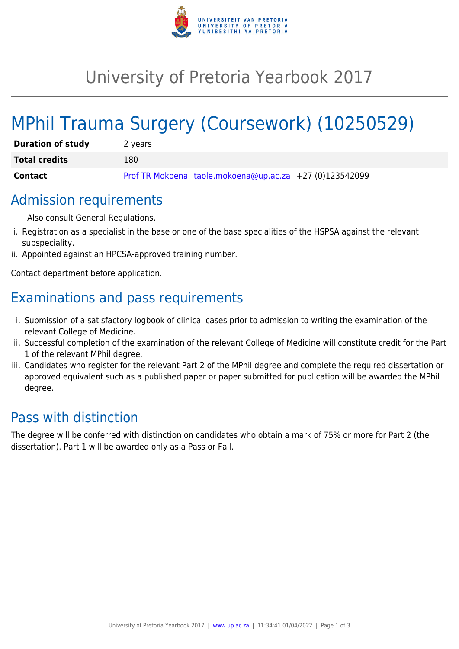

## University of Pretoria Yearbook 2017

# MPhil Trauma Surgery (Coursework) (10250529)

| <b>Duration of study</b> | 2 years                                                 |
|--------------------------|---------------------------------------------------------|
| <b>Total credits</b>     | 180                                                     |
| Contact                  | Prof TR Mokoena taole.mokoena@up.ac.za +27 (0)123542099 |

## Admission requirements

Also consult General Regulations.

- i. Registration as a specialist in the base or one of the base specialities of the HSPSA against the relevant subspeciality.
- ii. Appointed against an HPCSA-approved training number.

Contact department before application.

## Examinations and pass requirements

- i. Submission of a satisfactory logbook of clinical cases prior to admission to writing the examination of the relevant College of Medicine.
- ii. Successful completion of the examination of the relevant College of Medicine will constitute credit for the Part 1 of the relevant MPhil degree.
- iii. Candidates who register for the relevant Part 2 of the MPhil degree and complete the required dissertation or approved equivalent such as a published paper or paper submitted for publication will be awarded the MPhil degree.

## Pass with distinction

The degree will be conferred with distinction on candidates who obtain a mark of 75% or more for Part 2 (the dissertation). Part 1 will be awarded only as a Pass or Fail.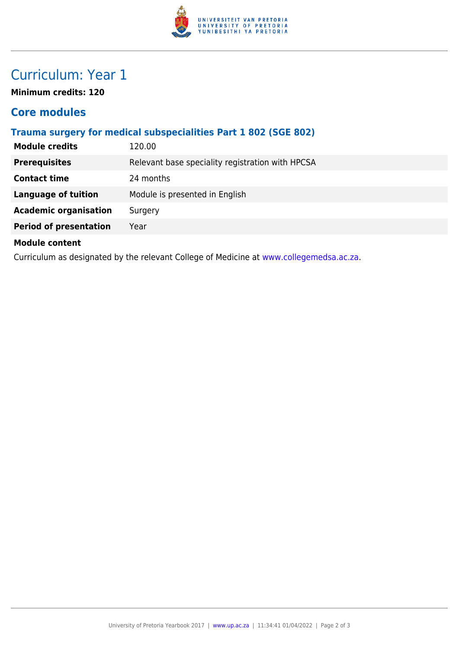

## Curriculum: Year 1

**Minimum credits: 120**

#### **Core modules**

#### **Trauma surgery for medical subspecialities Part 1 802 (SGE 802)**

| <b>Module credits</b>                                                                   | 120.00                                           |  |
|-----------------------------------------------------------------------------------------|--------------------------------------------------|--|
| <b>Prerequisites</b>                                                                    | Relevant base speciality registration with HPCSA |  |
| <b>Contact time</b>                                                                     | 24 months                                        |  |
| <b>Language of tuition</b>                                                              | Module is presented in English                   |  |
| <b>Academic organisation</b>                                                            | Surgery                                          |  |
| <b>Period of presentation</b>                                                           | Year                                             |  |
| <b>Module content</b>                                                                   |                                                  |  |
| Curriculum as designated by the relevant College of Medicine at www.collegemedsa.ac.za. |                                                  |  |